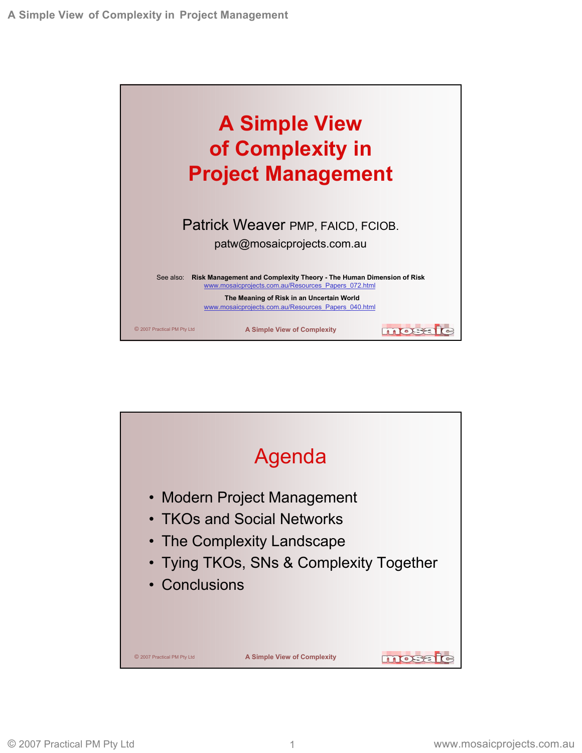

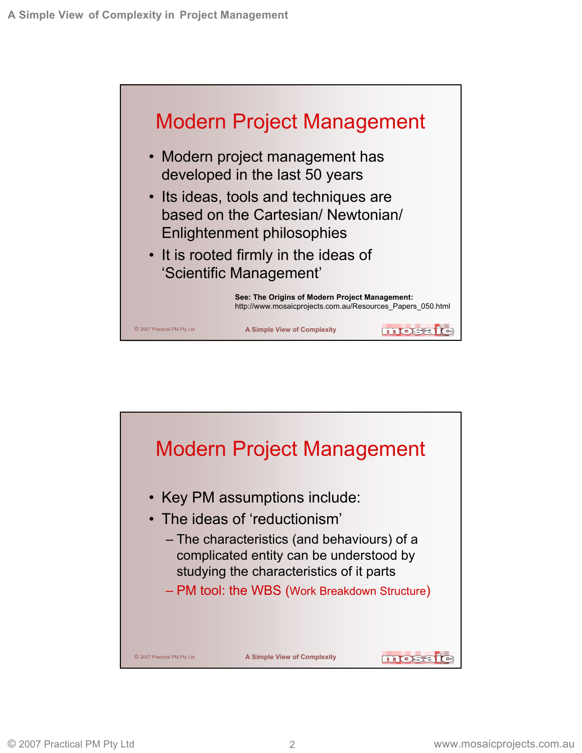

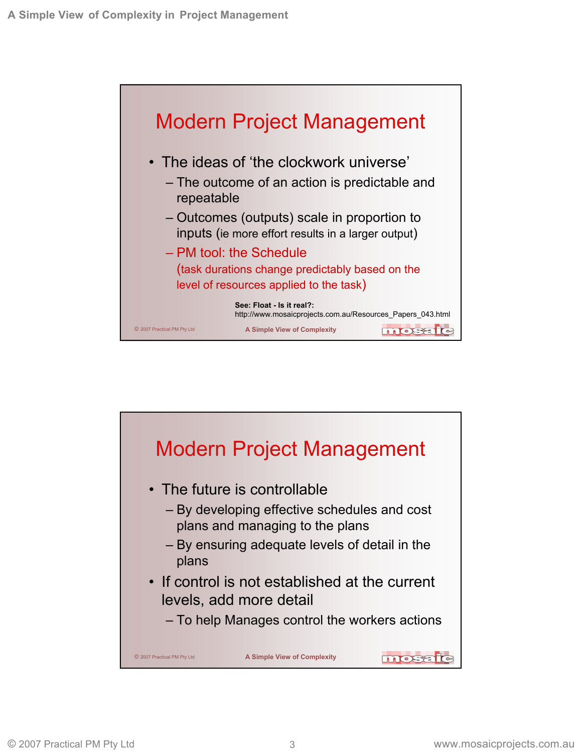

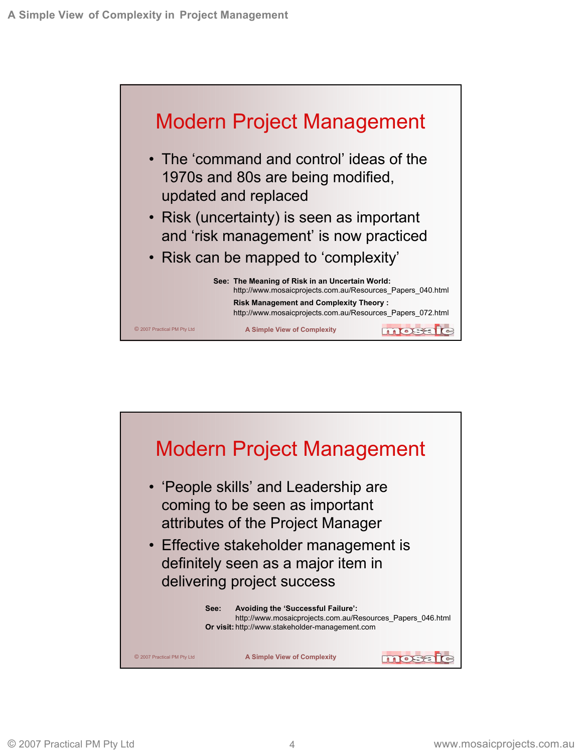

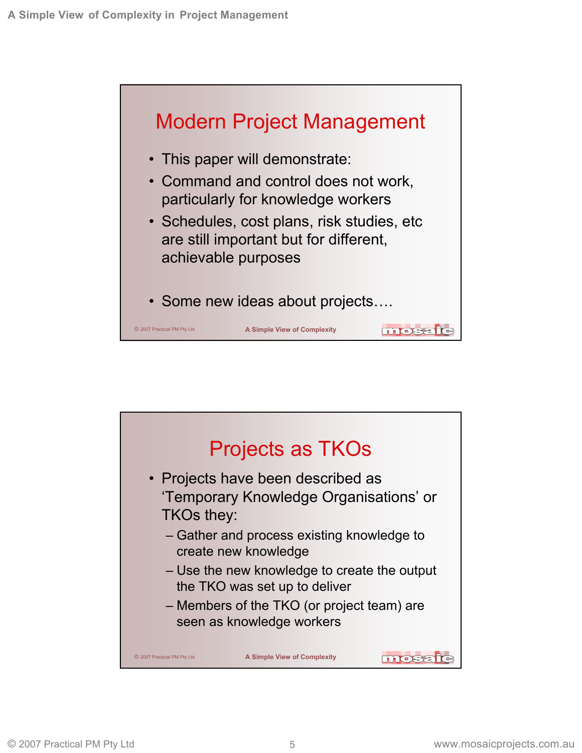

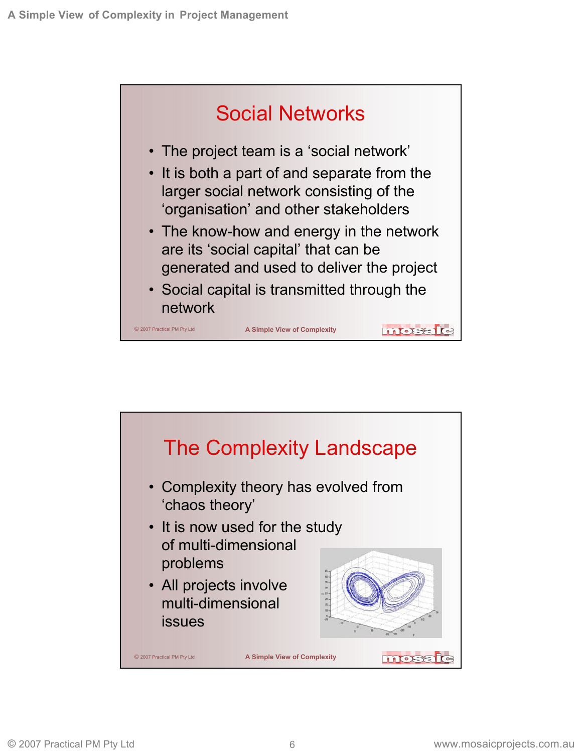

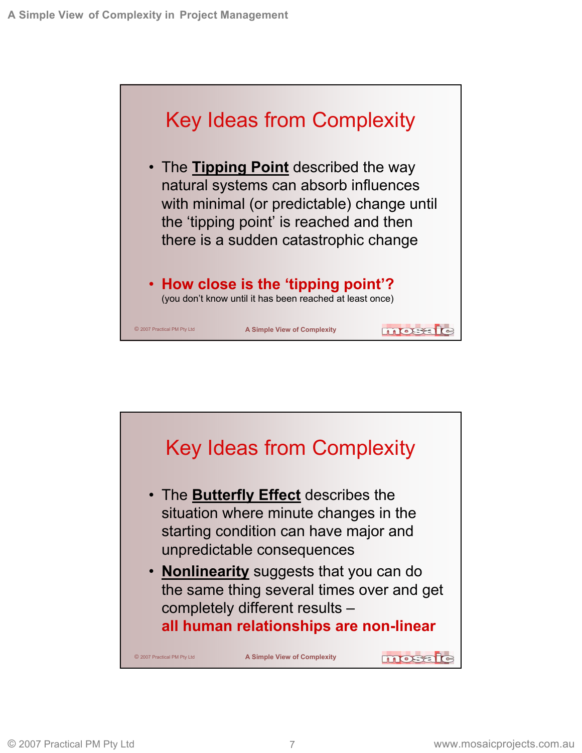

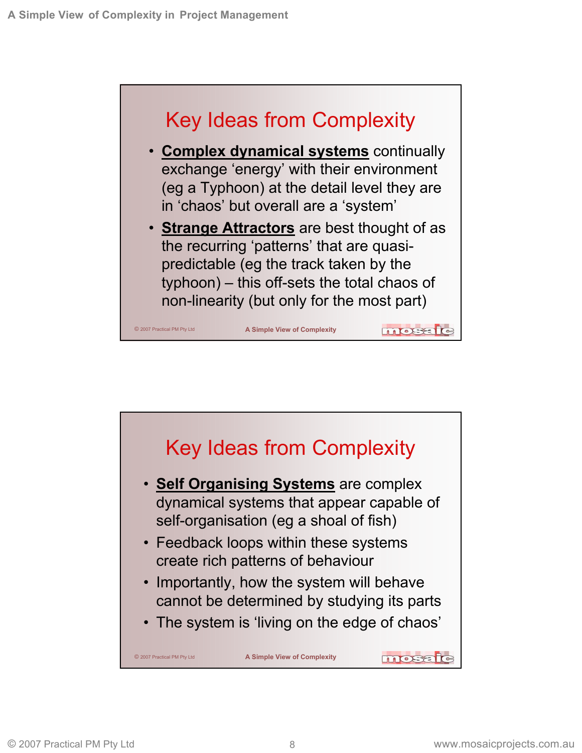

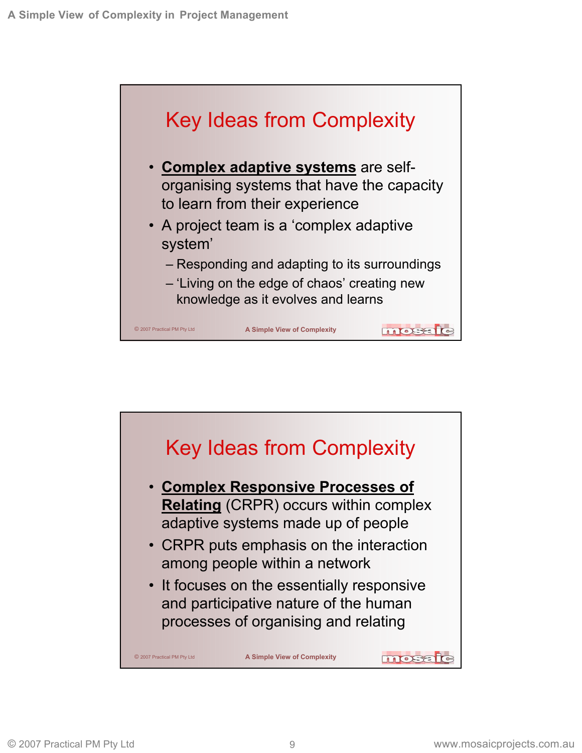

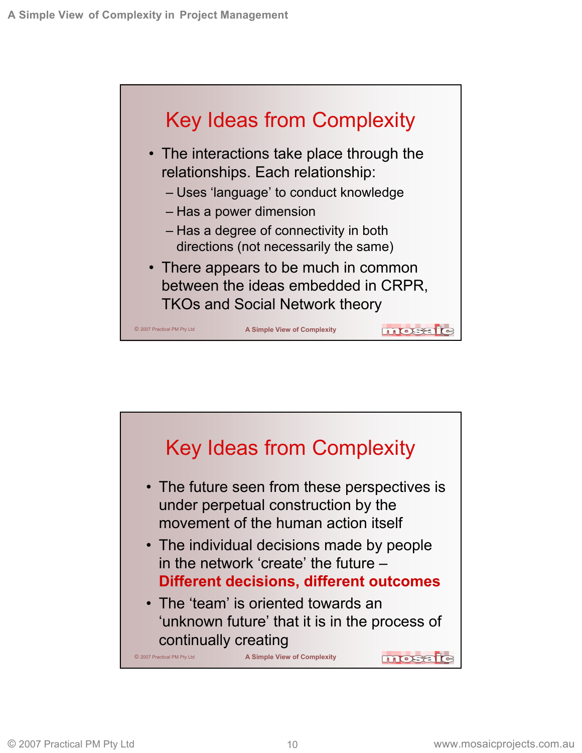

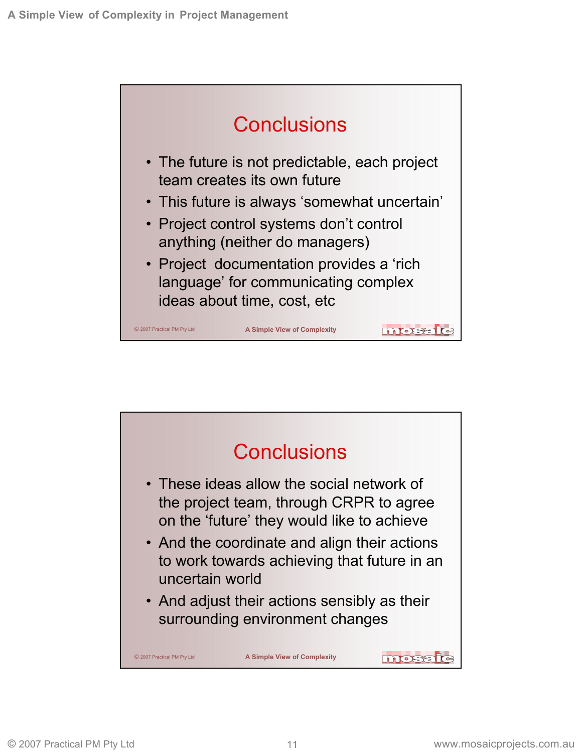

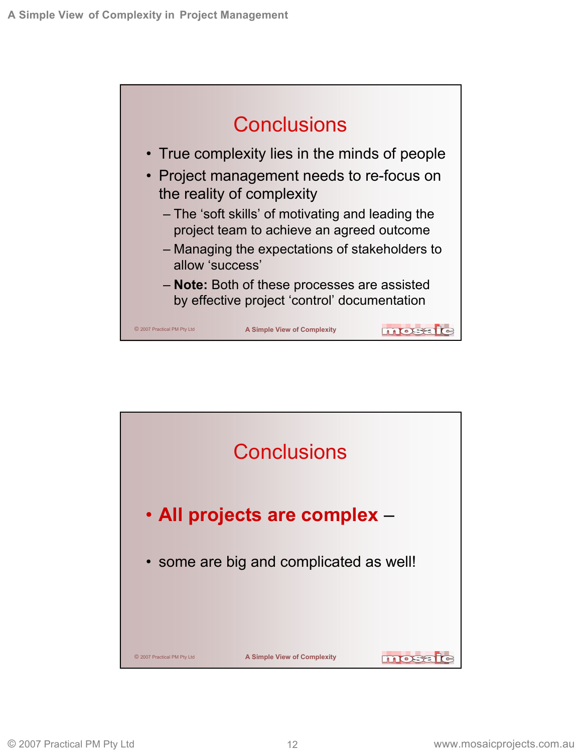